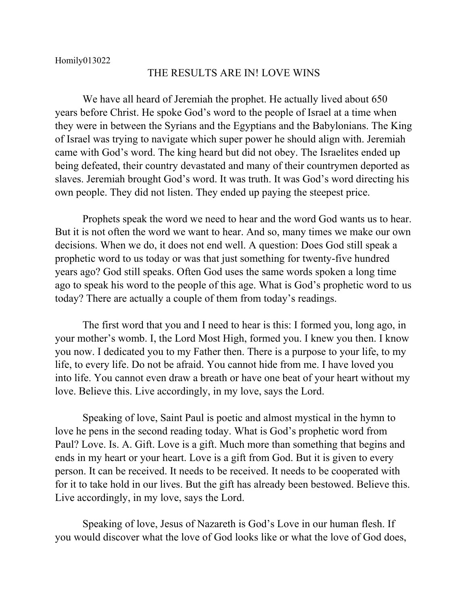## THE RESULTS ARE IN! LOVE WINS

We have all heard of Jeremiah the prophet. He actually lived about 650 years before Christ. He spoke God's word to the people of Israel at a time when they were in between the Syrians and the Egyptians and the Babylonians. The King of Israel was trying to navigate which super power he should align with. Jeremiah came with God's word. The king heard but did not obey. The Israelites ended up being defeated, their country devastated and many of their countrymen deported as slaves. Jeremiah brought God's word. It was truth. It was God's word directing his own people. They did not listen. They ended up paying the steepest price.

Prophets speak the word we need to hear and the word God wants us to hear. But it is not often the word we want to hear. And so, many times we make our own decisions. When we do, it does not end well. A question: Does God still speak a prophetic word to us today or was that just something for twenty-five hundred years ago? God still speaks. Often God uses the same words spoken a long time ago to speak his word to the people of this age. What is God's prophetic word to us today? There are actually a couple of them from today's readings.

The first word that you and I need to hear is this: I formed you, long ago, in your mother's womb. I, the Lord Most High, formed you. I knew you then. I know you now. I dedicated you to my Father then. There is a purpose to your life, to my life, to every life. Do not be afraid. You cannot hide from me. I have loved you into life. You cannot even draw a breath or have one beat of your heart without my love. Believe this. Live accordingly, in my love, says the Lord.

Speaking of love, Saint Paul is poetic and almost mystical in the hymn to love he pens in the second reading today. What is God's prophetic word from Paul? Love. Is. A. Gift. Love is a gift. Much more than something that begins and ends in my heart or your heart. Love is a gift from God. But it is given to every person. It can be received. It needs to be received. It needs to be cooperated with for it to take hold in our lives. But the gift has already been bestowed. Believe this. Live accordingly, in my love, says the Lord.

Speaking of love, Jesus of Nazareth is God's Love in our human flesh. If you would discover what the love of God looks like or what the love of God does,